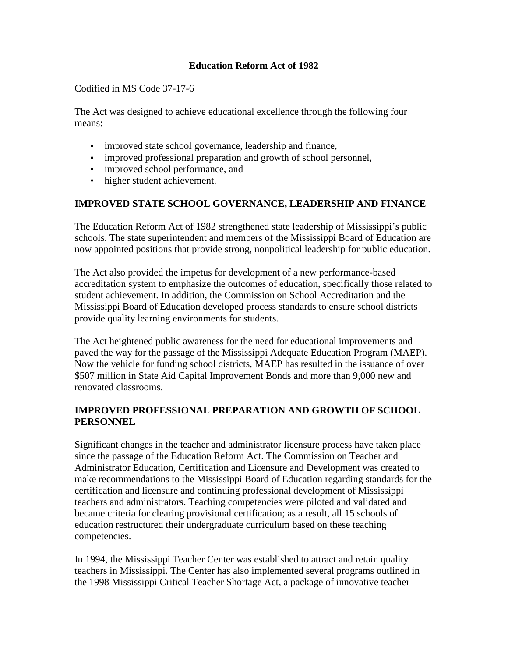## **Education Reform Act of 1982**

Codified in MS Code 37-17-6

The Act was designed to achieve educational excellence through the following four means:

- improved state school governance, leadership and finance,
- improved professional preparation and growth of school personnel,
- improved school performance, and
- higher student achievement.

## **IMPROVED STATE SCHOOL GOVERNANCE, LEADERSHIP AND FINANCE**

The Education Reform Act of 1982 strengthened state leadership of Mississippi's public schools. The state superintendent and members of the Mississippi Board of Education are now appointed positions that provide strong, nonpolitical leadership for public education.

The Act also provided the impetus for development of a new performance-based accreditation system to emphasize the outcomes of education, specifically those related to student achievement. In addition, the Commission on School Accreditation and the Mississippi Board of Education developed process standards to ensure school districts provide quality learning environments for students.

The Act heightened public awareness for the need for educational improvements and paved the way for the passage of the Mississippi Adequate Education Program (MAEP). Now the vehicle for funding school districts, MAEP has resulted in the issuance of over \$507 million in State Aid Capital Improvement Bonds and more than 9,000 new and renovated classrooms.

## **IMPROVED PROFESSIONAL PREPARATION AND GROWTH OF SCHOOL PERSONNEL**

Significant changes in the teacher and administrator licensure process have taken place since the passage of the Education Reform Act. The Commission on Teacher and Administrator Education, Certification and Licensure and Development was created to make recommendations to the Mississippi Board of Education regarding standards for the certification and licensure and continuing professional development of Mississippi teachers and administrators. Teaching competencies were piloted and validated and became criteria for clearing provisional certification; as a result, all 15 schools of education restructured their undergraduate curriculum based on these teaching competencies.

In 1994, the Mississippi Teacher Center was established to attract and retain quality teachers in Mississippi. The Center has also implemented several programs outlined in the 1998 Mississippi Critical Teacher Shortage Act, a package of innovative teacher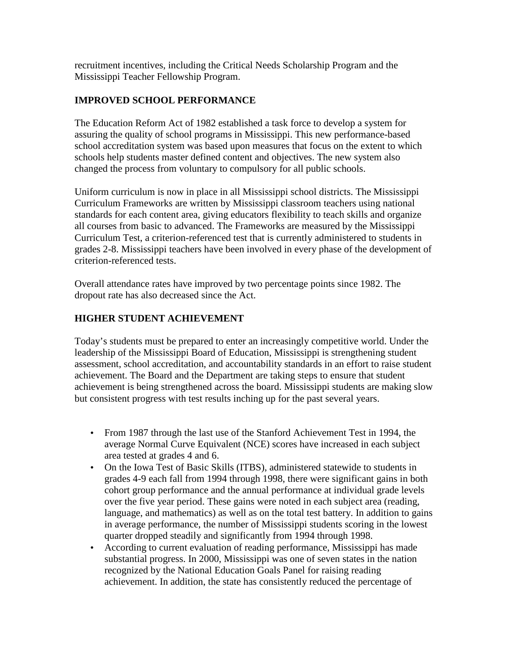recruitment incentives, including the Critical Needs Scholarship Program and the Mississippi Teacher Fellowship Program.

# **IMPROVED SCHOOL PERFORMANCE**

The Education Reform Act of 1982 established a task force to develop a system for assuring the quality of school programs in Mississippi. This new performance-based school accreditation system was based upon measures that focus on the extent to which schools help students master defined content and objectives. The new system also changed the process from voluntary to compulsory for all public schools.

Uniform curriculum is now in place in all Mississippi school districts. The Mississippi Curriculum Frameworks are written by Mississippi classroom teachers using national standards for each content area, giving educators flexibility to teach skills and organize all courses from basic to advanced. The Frameworks are measured by the Mississippi Curriculum Test, a criterion-referenced test that is currently administered to students in grades 2-8. Mississippi teachers have been involved in every phase of the development of criterion-referenced tests.

Overall attendance rates have improved by two percentage points since 1982. The dropout rate has also decreased since the Act.

# **HIGHER STUDENT ACHIEVEMENT**

Today's students must be prepared to enter an increasingly competitive world. Under the leadership of the Mississippi Board of Education, Mississippi is strengthening student assessment, school accreditation, and accountability standards in an effort to raise student achievement. The Board and the Department are taking steps to ensure that student achievement is being strengthened across the board. Mississippi students are making slow but consistent progress with test results inching up for the past several years.

- From 1987 through the last use of the Stanford Achievement Test in 1994, the average Normal Curve Equivalent (NCE) scores have increased in each subject area tested at grades 4 and 6.
- On the Iowa Test of Basic Skills (ITBS), administered statewide to students in grades 4-9 each fall from 1994 through 1998, there were significant gains in both cohort group performance and the annual performance at individual grade levels over the five year period. These gains were noted in each subject area (reading, language, and mathematics) as well as on the total test battery. In addition to gains in average performance, the number of Mississippi students scoring in the lowest quarter dropped steadily and significantly from 1994 through 1998.
- According to current evaluation of reading performance, Mississippi has made substantial progress. In 2000, Mississippi was one of seven states in the nation recognized by the National Education Goals Panel for raising reading achievement. In addition, the state has consistently reduced the percentage of